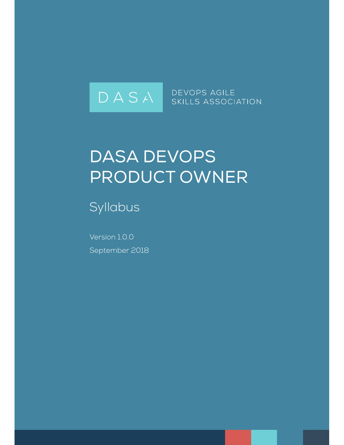

DEVOPS AGILE SKILLS ASSOCIATION

# DASA DEVOPS PRODUCT OWNER

Syllabus

Version 1.0.0 September 2018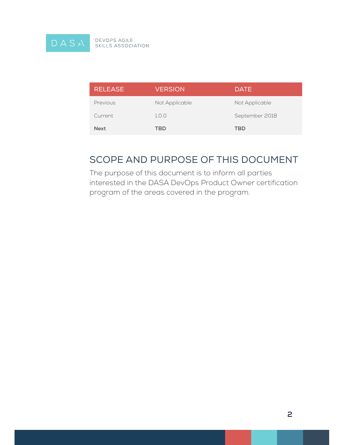

| <b>RELEASE</b> | <b>VERSION</b> | <b>DATE</b>    |
|----------------|----------------|----------------|
| Previous       | Not Applicable | Not Applicable |
| Current        | 1.0.0          | September 2018 |
| <b>Next</b>    | TBD            | TBD            |

### SCOPE AND PURPOSE OF THIS DOCUMENT

The purpose of this document is to inform all parties interested in the DASA DevOps Product Owner certification program of the areas covered in the program.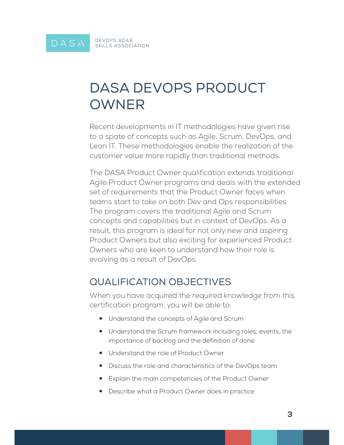## DASA DEVOPS PRODUCT OWNER

Recent developments in IT methodologies have given rise to a spate of concepts such as Agile, Scrum, DevOps, and Lean IT. These methodologies enable the realization of the customer value more rapidly than traditional methods.

The DASA Product Owner qualification extends traditional Agile Product Owner programs and deals with the extended set of requirements that the Product Owner faces when teams start to take on both Dev and Ops responsibilities. The program covers the traditional Agile and Scrum concepts and capabilities but in context of DevOps. As a result, this program is ideal for not only new and aspiring Product Owners but also exciting for experienced Product Owners who are keen to understand how their role is evolving as a result of DevOps.

### QUALIFICATION OBJECTIVES

When you have acquired the required knowledge from this certification program, you will be able to:

- Understand the concepts of Agile and Scrum
- Understand the Scrum framework including roles, events, the importance of backlog and the definition of done
- Understand the role of Product Owner
- Discuss the role and characteristics of the DevOps team
- Explain the main competencies of the Product Owner
- Describe what a Product Owner does in practice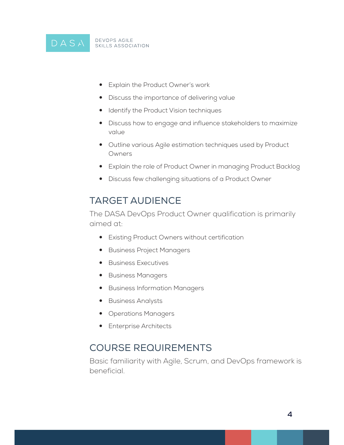

- Explain the Product Owner's work
- Discuss the importance of delivering value
- Identify the Product Vision techniques
- Discuss how to engage and influence stakeholders to maximize value
- Outline various Agile estimation techniques used by Product Owners
- Explain the role of Product Owner in managing Product Backlog
- Discuss few challenging situations of a Product Owner

### TARGET AUDIENCE

The DASA DevOps Product Owner qualification is primarily aimed at:

- Existing Product Owners without certification
- **•** Business Project Managers
- Business Executives
- Business Managers
- Business Information Managers
- Business Analysts
- Operations Managers
- Enterprise Architects

### COURSE REQUIREMENTS

Basic familiarity with Agile, Scrum, and DevOps framework is beneficial.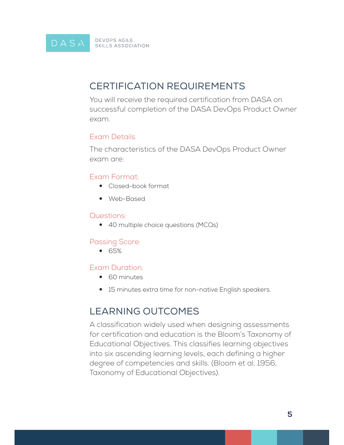### CERTIFICATION REQUIREMENTS

You will receive the required certification from DASA on successful completion of the DASA DevOps Product Owner exam.

#### Exam Details

The characteristics of the DASA DevOps Product Owner exam are:

#### Exam Format:

- Closed-book format
- Web-Based

#### Questions:

• 40 multiple choice questions (MCQs)

#### Passing Score:

 $\bullet$  65%

#### Exam Duration:

- 60 minutes
- 15 minutes extra time for non-native English speakers.

### LEARNING OUTCOMES

A classification widely used when designing assessments for certification and education is the Bloom's Taxonomy of Educational Objectives. This classifies learning objectives into six ascending learning levels, each defining a higher degree of competencies and skills. (Bloom et al, 1956, Taxonomy of Educational Objectives).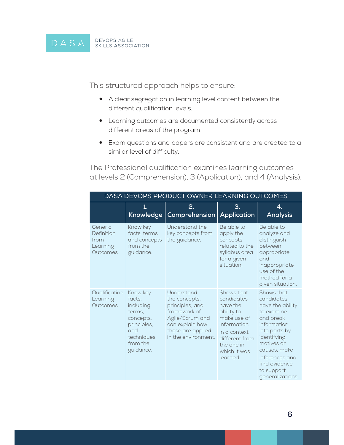This structured approach helps to ensure:

- A clear segregation in learning level content between the different qualification levels.
- Learning outcomes are documented consistently across different areas of the program.
- Exam questions and papers are consistent and are created to a similar level of difficulty.

The Professional qualification examines learning outcomes at levels 2 (Comprehension), 3 (Application), and 4 (Analysis).

| DASA DEVOPS PRODUCT OWNER LEARNING OUTCOMES           |                                                                                                                     |                                                                                                                                                  |                                                                                                                                                              |                                                                                                                                                                                                                           |
|-------------------------------------------------------|---------------------------------------------------------------------------------------------------------------------|--------------------------------------------------------------------------------------------------------------------------------------------------|--------------------------------------------------------------------------------------------------------------------------------------------------------------|---------------------------------------------------------------------------------------------------------------------------------------------------------------------------------------------------------------------------|
|                                                       | 1.<br><b>Knowledge</b>                                                                                              | 2.<br>Comprehension                                                                                                                              | З.<br><b>Application</b>                                                                                                                                     | 4.<br><b>Analysis</b>                                                                                                                                                                                                     |
| Generic<br>Definition<br>from<br>Learning<br>Outcomes | Know key<br>facts, terms<br>and concepts<br>from the<br>guidance.                                                   | Understand the<br>key concepts from<br>the guidance.                                                                                             | Be able to<br>apply the<br>concepts<br>related to the<br>syllabus area<br>for a given<br>situation.                                                          | Be able to<br>analyze and<br>distinguish<br>between<br>appropriate<br>and<br>inappropriate<br>use of the<br>method for a<br>given situation.                                                                              |
| Qualification<br>Learning<br>Outcomes                 | Know key<br>facts.<br>including<br>terms.<br>concepts,<br>principles,<br>and<br>techniques<br>from the<br>guidance. | Understand<br>the concepts,<br>principles, and<br>framework of<br>Agile/Scrum and<br>can explain how<br>these are applied<br>in the environment. | Shows that<br>candidates<br>have the<br>ability to<br>make use of<br>information<br>in a context<br>different from<br>the one in<br>which it was<br>learned. | Shows that<br>candidates<br>have the ability<br>to examine<br>and break<br>information<br>into parts by<br>identifying<br>motives or<br>causes, make<br>inferences and<br>find evidence<br>to support<br>generalizations. |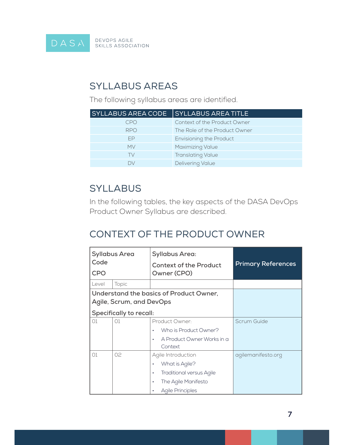

### SYLLABUS AREAS

The following syllabus areas are identified.

| <b>SYLLABUS AREA CODE</b> | <b>SYLLABUS AREA TITLE</b>     |
|---------------------------|--------------------------------|
| CPO                       | Context of the Product Owner   |
| <b>RPO</b>                | The Role of the Product Owner  |
| FP                        | <b>Envisioning the Product</b> |
| MV                        | Maximizing Value               |
| TV                        | <b>Translating Value</b>       |
| Dν                        | <b>Delivering Value</b>        |

### **SYLLABUS**

In the following tables, the key aspects of the DASA DevOps Product Owner Syllabus are described.

### CONTEXT OF THE PRODUCT OWNER

| <b>Syllabus Area</b><br>Code<br><b>CPO</b> |                          | <b>Syllabus Area:</b><br><b>Context of the Product</b><br>Owner (CPO) | <b>Primary References</b> |
|--------------------------------------------|--------------------------|-----------------------------------------------------------------------|---------------------------|
| Level                                      | Topic                    |                                                                       |                           |
|                                            |                          | Understand the basics of Product Owner,                               |                           |
|                                            | Agile, Scrum, and DevOps |                                                                       |                           |
|                                            | Specifically to recall:  |                                                                       |                           |
| O1                                         | O1                       | Product Owner:                                                        | Scrum Guide               |
|                                            |                          | Who is Product Owner?<br>٠                                            |                           |
|                                            |                          | A Product Owner Works in a<br>٠<br>Context                            |                           |
| O1                                         | 02                       | Agile Introduction                                                    | agilemanifesto.org        |
|                                            |                          | What is Agile?<br>$\bullet$                                           |                           |
|                                            |                          | <b>Traditional versus Agile</b><br>$\bullet$                          |                           |
|                                            |                          | The Agile Manifesto<br>٠                                              |                           |
|                                            |                          | <b>Agile Principles</b><br>$\bullet$                                  |                           |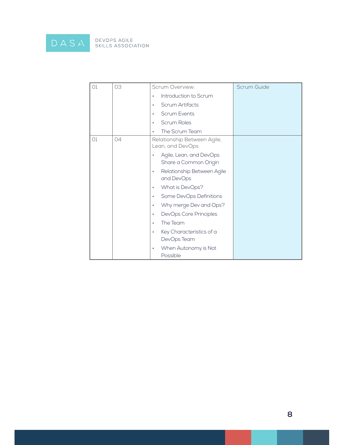

| 01 | 03 | Scrum Overview:                                  | Scrum Guide |
|----|----|--------------------------------------------------|-------------|
|    |    | Introduction to Scrum                            |             |
|    |    | <b>Scrum Artifacts</b><br>٠                      |             |
|    |    | <b>Scrum Events</b><br>٠                         |             |
|    |    | <b>Scrum Roles</b>                               |             |
|    |    | The Scrum Team<br>٠                              |             |
| O1 | 04 | Relationship Between Agile,<br>Lean, and DevOps  |             |
|    |    | Agile, Lean, and DevOps<br>Share a Common Origin |             |
|    |    | Relationship Between Agile<br>٠<br>and DevOps    |             |
|    |    | What is DevOps?<br>٠                             |             |
|    |    | Some DevOps Definitions                          |             |
|    |    | Why merge Dev and Ops?                           |             |
|    |    | DevOps Core Principles<br>٠                      |             |
|    |    | The Team<br>٠                                    |             |
|    |    | Key Characteristics of a<br>٠<br>DevOps Team     |             |
|    |    | When Autonomy is Not<br>٠<br>Possible            |             |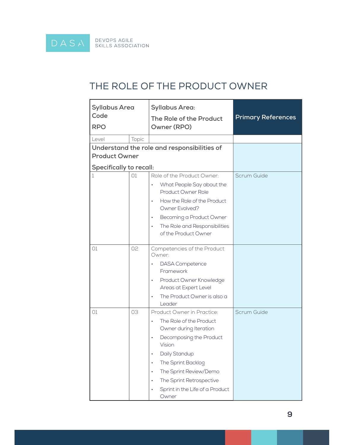### THE ROLE OF THE PRODUCT OWNER

| <b>Syllabus Area</b><br>Code<br><b>RPO</b> |       | <b>Syllabus Area:</b><br>The Role of the Product<br>Owner (RPO)                             | <b>Primary References</b> |
|--------------------------------------------|-------|---------------------------------------------------------------------------------------------|---------------------------|
| Level                                      | Topic |                                                                                             |                           |
| <b>Product Owner</b>                       |       | Understand the role and responsibilities of                                                 |                           |
| <b>Specifically to recall:</b><br>1        | O1    | Role of the Product Owner:                                                                  | Scrum Guide               |
|                                            |       | What People Say about the<br>Product Owner Role<br>How the Role of the Product<br>$\bullet$ |                           |
|                                            |       | Owner Evolved?                                                                              |                           |
|                                            |       | Becoming a Product Owner<br>$\bullet$                                                       |                           |
|                                            |       | The Role and Responsibilities<br>$\bullet$<br>of the Product Owner                          |                           |
| O1                                         | 02    | Competencies of the Product<br>Owner:                                                       |                           |
|                                            |       | <b>DASA</b> Competence<br>٠<br>Framework                                                    |                           |
|                                            |       | Product Owner Knowledge<br>$\bullet$<br>Areas at Expert Level                               |                           |
|                                            |       | The Product Owner is also a<br>$\bullet$<br>Leader                                          |                           |
| 01                                         | 03    | Product Owner in Practice:                                                                  | Scrum Guide               |
|                                            |       | The Role of the Product<br>$\bullet$<br>Owner during Iteration                              |                           |
|                                            |       | Decomposing the Product<br>$\bullet$<br>Vision                                              |                           |
|                                            |       | Daily Standup<br>٠                                                                          |                           |
|                                            |       | The Sprint Backlog<br>$\bullet$                                                             |                           |
|                                            |       | The Sprint Review/Demo<br>٠                                                                 |                           |
|                                            |       | The Sprint Retrospective<br>$\bullet$                                                       |                           |
|                                            |       | Sprint in the Life of a Product<br>٠<br>Owner                                               |                           |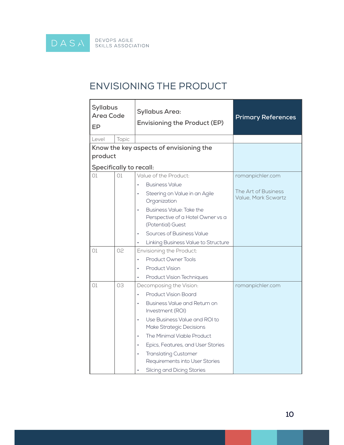### ENVISIONING THE PRODUCT

| <b>Syllabus</b><br><b>Area Code</b><br>EP |       | <b>Syllabus Area:</b><br><b>Envisioning the Product (EP)</b>                                    | <b>Primary References</b>                  |
|-------------------------------------------|-------|-------------------------------------------------------------------------------------------------|--------------------------------------------|
| Level                                     | Topic |                                                                                                 |                                            |
|                                           |       | Know the key aspects of envisioning the                                                         |                                            |
| product                                   |       |                                                                                                 |                                            |
| <b>Specifically to recall:</b>            |       |                                                                                                 |                                            |
| O1                                        | O1    | Value of the Product:                                                                           | romanpichler.com                           |
|                                           |       | <b>Business Value</b>                                                                           |                                            |
|                                           |       | Steering on Value in an Agile<br>٠<br>Organization                                              | The Art of Business<br>Value, Mark Scwartz |
|                                           |       | Business Value: Take the<br>$\bullet$<br>Perspective of a Hotel Owner vs a<br>(Potential) Guest |                                            |
|                                           |       | Sources of Business Value<br>$\bullet$                                                          |                                            |
|                                           |       | Linking Business Value to Structure                                                             |                                            |
| 01                                        | 02    | Envisioning the Product:                                                                        |                                            |
|                                           |       | <b>Product Owner Tools</b>                                                                      |                                            |
|                                           |       | <b>Product Vision</b>                                                                           |                                            |
|                                           |       | <b>Product Vision Techniques</b>                                                                |                                            |
| 01                                        | 03    | Decomposing the Vision:                                                                         | romanpichler.com                           |
|                                           |       | <b>Product Vision Board</b><br>$\bullet$                                                        |                                            |
|                                           |       | Business Value and Return on<br>$\bullet$<br>Investment (ROI)                                   |                                            |
|                                           |       | Use Business Value and ROI to<br>$\bullet$<br>Make Strategic Decisions                          |                                            |
|                                           |       | The Minimal Viable Product<br>٠                                                                 |                                            |
|                                           |       | Epics, Features, and User Stories<br>$\bullet$                                                  |                                            |
|                                           |       | <b>Translating Customer</b><br>Requirements into User Stories                                   |                                            |
|                                           |       | Slicing and Dicing Stories                                                                      |                                            |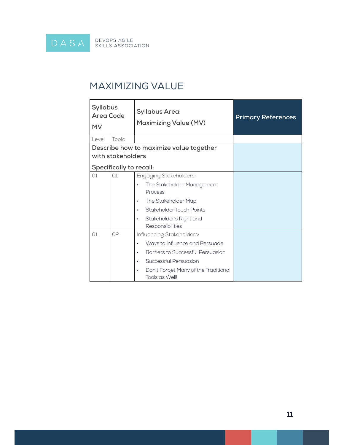

### MAXIMIZING VALUE

| <b>Syllabus</b><br><b>Area Code</b><br><b>MV</b> |                                                                                                                                                                                     | <b>Syllabus Area:</b><br><b>Maximizing Value (MV)</b>                                                                                                                                                 | <b>Primary References</b> |
|--------------------------------------------------|-------------------------------------------------------------------------------------------------------------------------------------------------------------------------------------|-------------------------------------------------------------------------------------------------------------------------------------------------------------------------------------------------------|---------------------------|
| Level                                            | Topic                                                                                                                                                                               |                                                                                                                                                                                                       |                           |
|                                                  |                                                                                                                                                                                     | Describe how to maximize value together                                                                                                                                                               |                           |
|                                                  | with stakeholders                                                                                                                                                                   |                                                                                                                                                                                                       |                           |
|                                                  | Specifically to recall:                                                                                                                                                             |                                                                                                                                                                                                       |                           |
| O1                                               | $\bigcap$<br>Engaging Stakeholders:<br>The Stakeholder Management<br>Process<br>The Stakeholder Map<br>٠<br>Stakeholder Touch Points<br>Stakeholder's Right and<br>Responsibilities |                                                                                                                                                                                                       |                           |
| O1                                               | 02                                                                                                                                                                                  | Influencing Stakeholders:<br>Ways to Influence and Persuade<br>$\bullet$<br>Barriers to Successful Persuasion<br>Successful Persuasion<br>Don't Forget Many of the Traditional<br>٠<br>Tools as Well! |                           |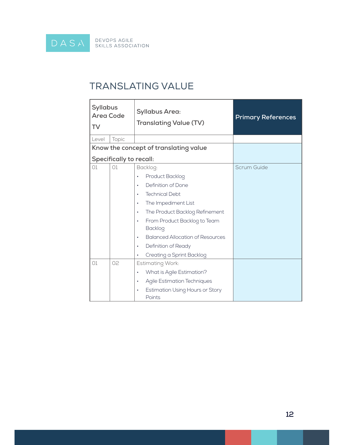

### TRANSLATING VALUE

| <b>Syllabus</b><br><b>Area Code</b><br>TV |                         | <b>Syllabus Area:</b><br><b>Translating Value (TV)</b>                                                                                                                                                                                                                                      | <b>Primary References</b> |
|-------------------------------------------|-------------------------|---------------------------------------------------------------------------------------------------------------------------------------------------------------------------------------------------------------------------------------------------------------------------------------------|---------------------------|
| Level                                     | Topic                   |                                                                                                                                                                                                                                                                                             |                           |
|                                           |                         | Know the concept of translating value                                                                                                                                                                                                                                                       |                           |
|                                           | Specifically to recall: |                                                                                                                                                                                                                                                                                             |                           |
| O1                                        | O1                      | Backlog:<br>Product Backlog<br>٠<br>Definition of Done<br>۰<br><b>Technical Debt</b><br>$\bullet$<br>The Impediment List<br>$\bullet$<br>The Product Backlog Refinement<br>۰<br>From Product Backlog to Team<br>٠<br><b>Backlog</b><br><b>Balanced Allocation of Resources</b><br>$\bullet$ | Scrum Guide               |
|                                           |                         | Definition of Ready<br>$\bullet$<br>Creating a Sprint Backlog                                                                                                                                                                                                                               |                           |
| O1                                        | 02                      | <b>Estimating Work:</b><br>What is Agile Estimation?<br>٠<br><b>Agile Estimation Techniques</b><br>$\bullet$<br><b>Estimation Using Hours or Story</b><br>٠<br>Points                                                                                                                       |                           |